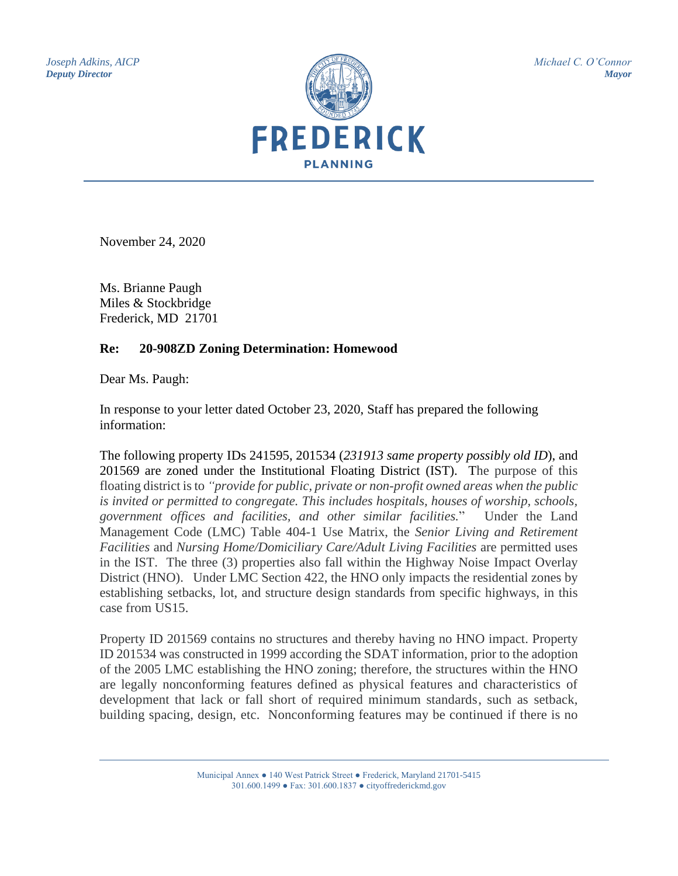*Joseph Adkins, AICP Deputy Director*



*Michael C. O'Connor Mayor*

November 24, 2020

Ms. Brianne Paugh Miles & Stockbridge Frederick, MD 21701

## **Re: 20-908ZD Zoning Determination: Homewood**

Dear Ms. Paugh:

In response to your letter dated October 23, 2020, Staff has prepared the following information:

The following property IDs 241595, 201534 (*231913 same property possibly old ID*), and 201569 are zoned under the Institutional Floating District (IST). The purpose of this floating district is to *"provide for public, private or non-profit owned areas when the public is invited or permitted to congregate. This includes hospitals, houses of worship, schools, government offices and facilities, and other similar facilities.*" Under the Land Management Code (LMC) Table 404-1 Use Matrix, the *Senior Living and Retirement Facilities* and *Nursing Home/Domiciliary Care/Adult Living Facilities* are permitted uses in the IST. The three (3) properties also fall within the Highway Noise Impact Overlay District (HNO). Under LMC Section 422, the HNO only impacts the residential zones by establishing setbacks, lot, and structure design standards from specific highways, in this case from US15.

Property ID 201569 contains no structures and thereby having no HNO impact. Property ID 201534 was constructed in 1999 according the SDAT information, prior to the adoption of the 2005 LMC establishing the HNO zoning; therefore, the structures within the HNO are legally nonconforming features defined as physical features and characteristics of development that lack or fall short of required minimum standards, such as setback, building spacing, design, etc. Nonconforming features may be continued if there is no

> Municipal Annex ● 140 West Patrick Street ● Frederick, Maryland 21701-5415 301.600.1499 ● Fax: 301.600.1837 ● cityoffrederickmd.gov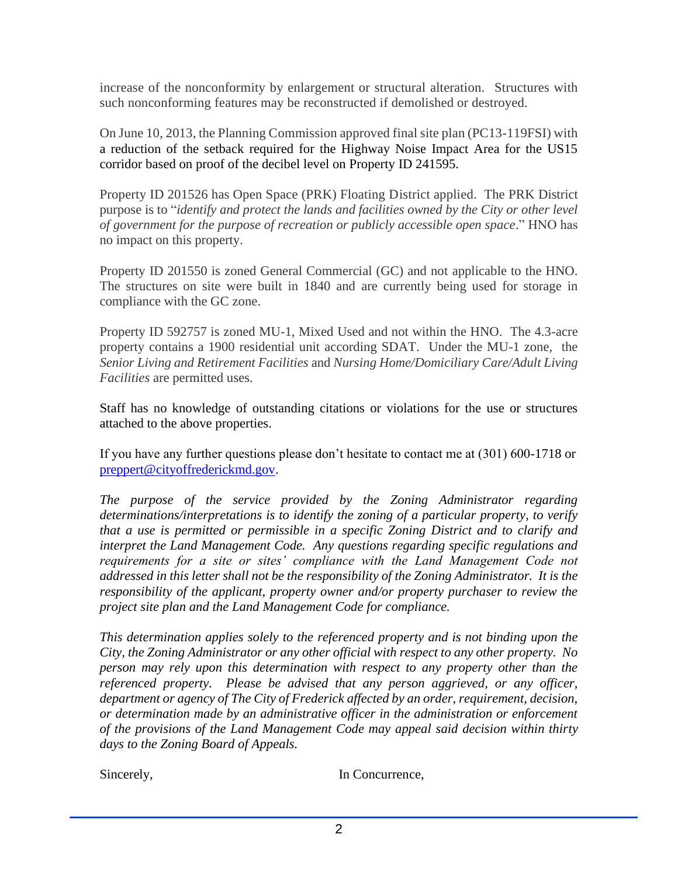increase of the nonconformity by enlargement or structural alteration. Structures with such nonconforming features may be reconstructed if demolished or destroyed.

On June 10, 2013, the Planning Commission approved final site plan (PC13-119FSI) with a reduction of the setback required for the Highway Noise Impact Area for the US15 corridor based on proof of the decibel level on Property ID 241595.

Property ID 201526 has Open Space (PRK) Floating District applied. The PRK District purpose is to "*identify and protect the lands and facilities owned by the City or other level of government for the purpose of recreation or publicly accessible open space*." HNO has no impact on this property.

Property ID 201550 is zoned General Commercial (GC) and not applicable to the HNO. The structures on site were built in 1840 and are currently being used for storage in compliance with the GC zone.

Property ID 592757 is zoned MU-1, Mixed Used and not within the HNO. The 4.3-acre property contains a 1900 residential unit according SDAT. Under the MU-1 zone, the *Senior Living and Retirement Facilities* and *Nursing Home/Domiciliary Care/Adult Living Facilities* are permitted uses.

Staff has no knowledge of outstanding citations or violations for the use or structures attached to the above properties.

If you have any further questions please don't hesitate to contact me at (301) 600-1718 or [preppert@cityoffrederickmd.gov.](mailto:preppert@cityoffrederickmd.gov)

*The purpose of the service provided by the Zoning Administrator regarding determinations/interpretations is to identify the zoning of a particular property, to verify that a use is permitted or permissible in a specific Zoning District and to clarify and interpret the Land Management Code. Any questions regarding specific regulations and requirements for a site or sites' compliance with the Land Management Code not addressed in this letter shall not be the responsibility of the Zoning Administrator. It is the responsibility of the applicant, property owner and/or property purchaser to review the project site plan and the Land Management Code for compliance.* 

*This determination applies solely to the referenced property and is not binding upon the City, the Zoning Administrator or any other official with respect to any other property. No person may rely upon this determination with respect to any property other than the referenced property. Please be advised that any person aggrieved, or any officer, department or agency of The City of Frederick affected by an order, requirement, decision, or determination made by an administrative officer in the administration or enforcement of the provisions of the Land Management Code may appeal said decision within thirty days to the Zoning Board of Appeals.*

Sincerely, In Concurrence,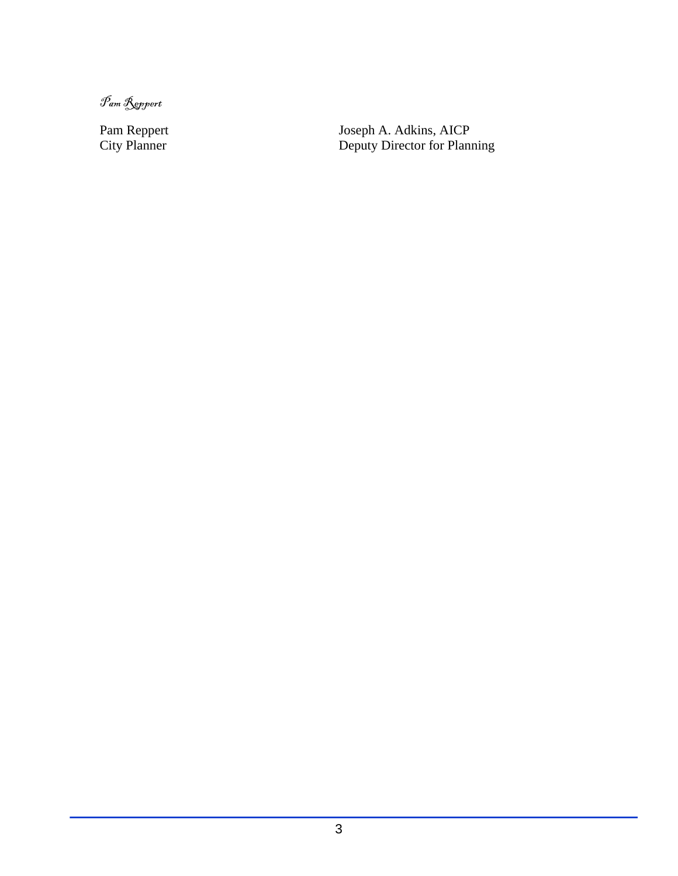Pam Reppert

Pam Reppert Joseph A. Adkins, AICP City Planner **Deputy Director for Planning**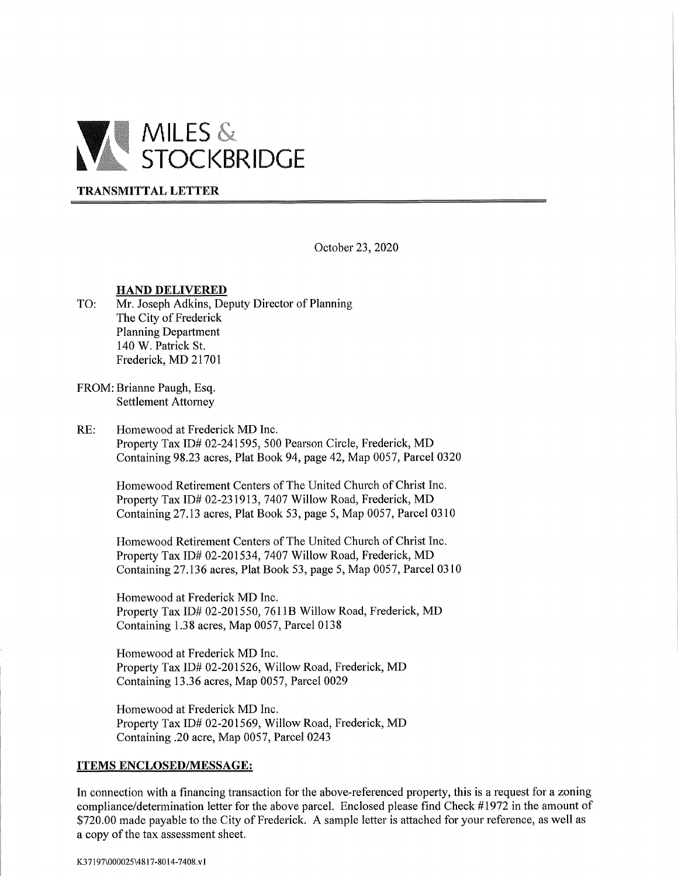

## **TRANSMITTAL LETTER**

October 23, 2020

## **HAND DELIVERED**

- TO: Mr. Joseph Adkins, Deputy Director of Planning The City of Frederick **Planning Department** 140 W. Patrick St. Frederick, MD 21701
- FROM: Brianne Paugh, Esq. **Settlement Attorney**
- $RE:$ Homewood at Frederick MD Inc. Property Tax ID# 02-241595, 500 Pearson Circle, Frederick, MD Containing 98.23 acres, Plat Book 94, page 42, Map 0057, Parcel 0320

Homewood Retirement Centers of The United Church of Christ Inc. Property Tax ID# 02-231913, 7407 Willow Road, Frederick, MD Containing 27.13 acres, Plat Book 53, page 5, Map 0057, Parcel 0310

Homewood Retirement Centers of The United Church of Christ Inc. Property Tax ID# 02-201534, 7407 Willow Road, Frederick, MD Containing 27.136 acres, Plat Book 53, page 5, Map 0057, Parcel 0310

Homewood at Frederick MD Inc. Property Tax ID# 02-201550, 7611B Willow Road, Frederick, MD Containing 1.38 acres, Map 0057, Parcel 0138

Homewood at Frederick MD Inc. Property Tax ID# 02-201526, Willow Road, Frederick, MD Containing 13.36 acres, Map 0057, Parcel 0029

Homewood at Frederick MD Inc. Property Tax ID# 02-201569, Willow Road, Frederick, MD Containing .20 acre, Map 0057, Parcel 0243

## **ITEMS ENCLOSED/MESSAGE:**

In connection with a financing transaction for the above-referenced property, this is a request for a zoning compliance/determination letter for the above parcel. Enclosed please find Check #1972 in the amount of \$720.00 made payable to the City of Frederick. A sample letter is attached for your reference, as well as a copy of the tax assessment sheet.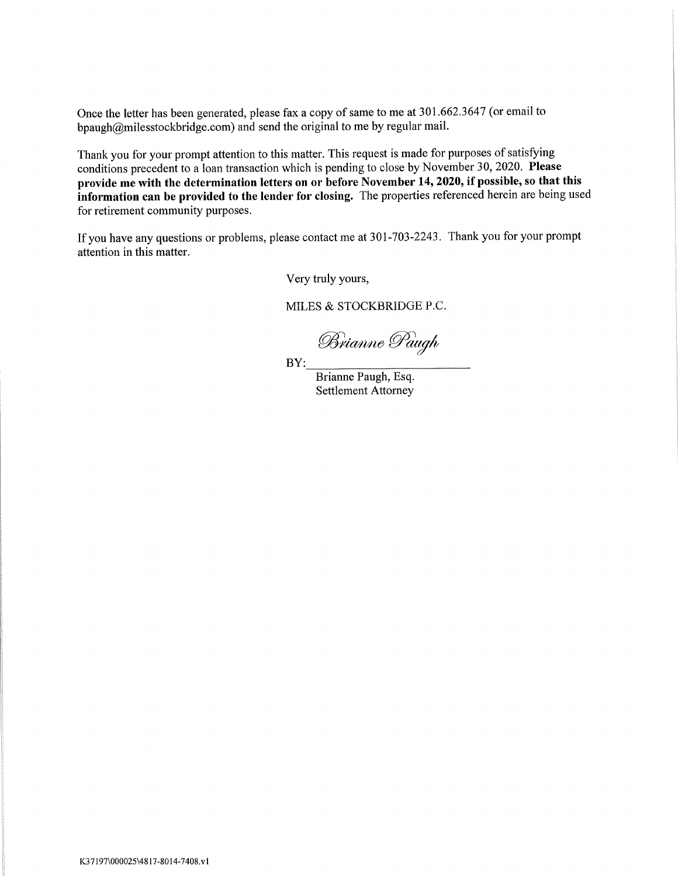Once the letter has been generated, please fax a copy of same to me at 301.662.3647 (or email to bpaugh $@$ milesstockbridge.com) and send the original to me by regular mail.

Thank you for your prompt attention to this matter. This request is made for purposes of satisfying conditions precedent to a loan transaction which is pending to close by November 30, 2020. Please provide me with the determination letters on or before November 14, 2020, if possible, so that this information can be provided to the lender for closing. The properties referenced herein are being used for retirement community purposes.

If you have any questions or problems, please contact me at 301-703-2243. Thank you for your prompt attention in this matter.

Very truly yours,

MILES & STOCKBRIDGE P.C.

Brianne Paugh

 $BY:$ 

Brianne Paugh, Esq. **Settlement Attorney**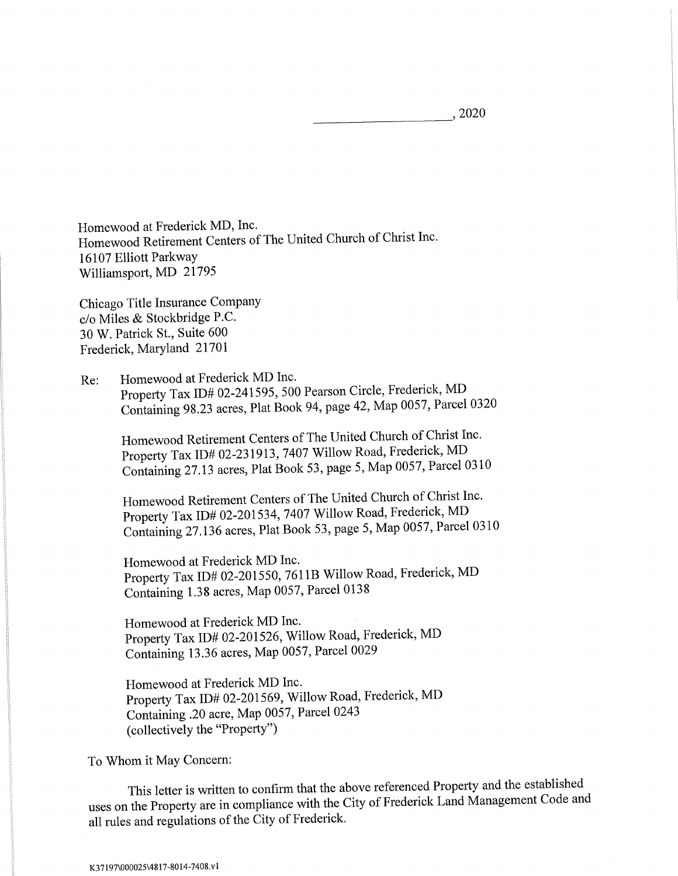, 2020

Homewood at Frederick MD, Inc. Homewood Retirement Centers of The United Church of Christ Inc. 16107 Elliott Parkway Williamsport, MD 21795

Chicago Title Insurance Company c/o Miles & Stockbridge P.C. 30 W. Patrick St., Suite 600 Frederick, Maryland 21701

Homewood at Frederick MD Inc.  $Re:$ Property Tax ID# 02-241595, 500 Pearson Circle, Frederick, MD Containing 98.23 acres, Plat Book 94, page 42, Map 0057, Parcel 0320

Homewood Retirement Centers of The United Church of Christ Inc. Property Tax ID# 02-231913, 7407 Willow Road, Frederick, MD Containing 27.13 acres, Plat Book 53, page 5, Map 0057, Parcel 0310

Homewood Retirement Centers of The United Church of Christ Inc. Property Tax ID# 02-201534, 7407 Willow Road, Frederick, MD Containing 27.136 acres, Plat Book 53, page 5, Map 0057, Parcel 0310

Homewood at Frederick MD Inc. Property Tax ID# 02-201550, 7611B Willow Road, Frederick, MD Containing 1.38 acres, Map 0057, Parcel 0138

Homewood at Frederick MD Inc. Property Tax ID# 02-201526, Willow Road, Frederick, MD Containing 13.36 acres, Map 0057, Parcel 0029

Homewood at Frederick MD Inc. Property Tax ID# 02-201569, Willow Road, Frederick, MD Containing .20 acre, Map 0057, Parcel 0243 (collectively the "Property")

To Whom it May Concern:

This letter is written to confirm that the above referenced Property and the established uses on the Property are in compliance with the City of Frederick Land Management Code and all rules and regulations of the City of Frederick.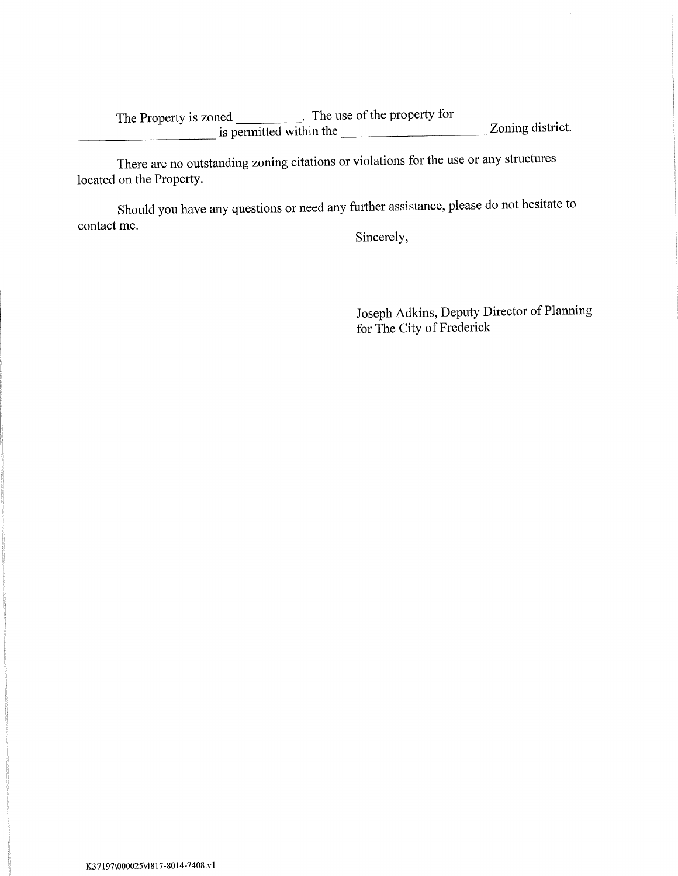The Property is zoned<br>
is permitted within the Zoning district.

There are no outstanding zoning citations or violations for the use or any structures located on the Property.

Should you have any questions or need any further assistance, please do not hesitate to contact me.

Sincerely,

Joseph Adkins, Deputy Director of Planning for The City of Frederick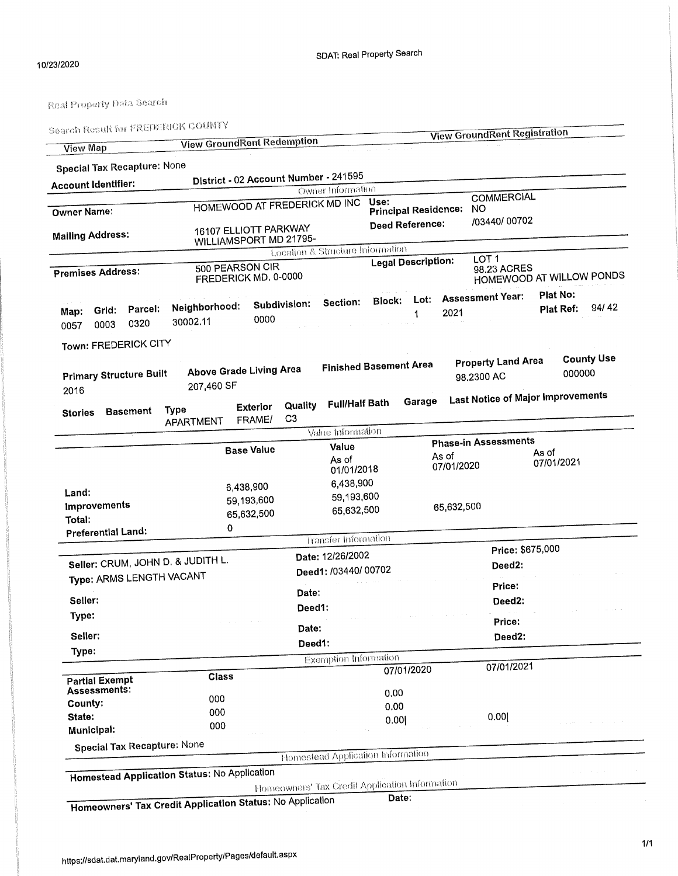h Result for EREDERICK COUNTY  $\mathbb{S}$ 

| <b>View Map</b><br><b>Special Tax Recapture: None</b><br><b>Account Identifier:</b><br><b>Owner Name:</b><br><b>Mailing Address:</b><br><b>Premises Address:</b><br>Parcel:<br>Grid:<br>Map:<br>0320 | <b>View GroundRent Redemption</b><br>District - 02 Account Number - 241595<br>HOMEWOOD AT FREDERICK MD INC<br>16107 ELLIOTT PARKWAY<br>WILLIAMSPORT MD 21795-<br>500 PEARSON CIR<br>FREDERICK MD, 0-0000<br>Neighborhood: |                      |                           | Owner Information<br>Location & Structure Information | Use:<br><b>Principal Residence.</b> | <b>Deed Reference:</b>    |                     | <b>View GroundRent Registration</b><br><b>COMMERCIAL</b><br>NО<br>/03440/ 00702 |                       |                   |
|------------------------------------------------------------------------------------------------------------------------------------------------------------------------------------------------------|---------------------------------------------------------------------------------------------------------------------------------------------------------------------------------------------------------------------------|----------------------|---------------------------|-------------------------------------------------------|-------------------------------------|---------------------------|---------------------|---------------------------------------------------------------------------------|-----------------------|-------------------|
|                                                                                                                                                                                                      |                                                                                                                                                                                                                           |                      |                           |                                                       |                                     |                           |                     |                                                                                 |                       |                   |
|                                                                                                                                                                                                      |                                                                                                                                                                                                                           |                      |                           |                                                       |                                     |                           |                     |                                                                                 |                       |                   |
|                                                                                                                                                                                                      |                                                                                                                                                                                                                           |                      |                           |                                                       |                                     |                           |                     |                                                                                 |                       |                   |
|                                                                                                                                                                                                      |                                                                                                                                                                                                                           |                      |                           |                                                       |                                     |                           |                     |                                                                                 |                       |                   |
|                                                                                                                                                                                                      |                                                                                                                                                                                                                           |                      |                           |                                                       |                                     |                           |                     |                                                                                 |                       |                   |
|                                                                                                                                                                                                      |                                                                                                                                                                                                                           |                      |                           |                                                       |                                     |                           |                     |                                                                                 |                       |                   |
|                                                                                                                                                                                                      |                                                                                                                                                                                                                           |                      |                           |                                                       |                                     |                           |                     |                                                                                 |                       |                   |
|                                                                                                                                                                                                      |                                                                                                                                                                                                                           |                      |                           |                                                       |                                     | <b>Legal Description:</b> |                     | LOT <sub>1</sub><br>98.23 ACRES<br>HOMEWOOD AT WILLOW PONDS                     |                       |                   |
| 0003<br>0057                                                                                                                                                                                         | 30002.11                                                                                                                                                                                                                  | Subdivision:<br>0000 |                           | Section:                                              | <b>Block:</b>                       | Lot:<br>1                 | 2021                | <b>Assessment Year:</b>                                                         | Plat No:<br>Plat Ref: | 94/42             |
|                                                                                                                                                                                                      |                                                                                                                                                                                                                           |                      |                           |                                                       |                                     |                           |                     |                                                                                 |                       |                   |
| Town: FREDERICK CITY                                                                                                                                                                                 |                                                                                                                                                                                                                           |                      |                           | <b>Finished Basement Area</b>                         |                                     |                           |                     | <b>Property Land Area</b>                                                       |                       | <b>County Use</b> |
| <b>Primary Structure Built</b><br>2016                                                                                                                                                               | <b>Above Grade Living Area</b><br>207,460 SF                                                                                                                                                                              |                      |                           |                                                       |                                     |                           |                     | 98.2300 AC                                                                      | 000000                |                   |
| <b>Basement</b><br><b>Stories</b>                                                                                                                                                                    | <b>Type</b>                                                                                                                                                                                                               | <b>Exterior</b>      | Quality<br>C <sub>3</sub> | <b>Full/Half Bath</b>                                 |                                     | Garage                    |                     | <b>Last Notice of Major Improvements</b>                                        |                       |                   |
|                                                                                                                                                                                                      | APARTMENT                                                                                                                                                                                                                 | FRAME/               |                           | Value Information                                     |                                     |                           |                     |                                                                                 |                       |                   |
|                                                                                                                                                                                                      |                                                                                                                                                                                                                           |                      |                           | Value                                                 |                                     |                           |                     | <b>Phase-in Assessments</b>                                                     |                       |                   |
|                                                                                                                                                                                                      |                                                                                                                                                                                                                           | <b>Base Value</b>    |                           | As of<br>01/01/2018                                   |                                     |                           | As of<br>07/01/2020 |                                                                                 | As of<br>07/01/2021   |                   |
|                                                                                                                                                                                                      |                                                                                                                                                                                                                           | 6,438,900            |                           | 6,438,900                                             |                                     |                           |                     |                                                                                 |                       |                   |
| Land:                                                                                                                                                                                                | 59,193,600                                                                                                                                                                                                                |                      |                           | 59,193,600                                            |                                     |                           |                     |                                                                                 |                       |                   |
| Improvements                                                                                                                                                                                         |                                                                                                                                                                                                                           | 65,632,500           |                           | 65,632,500                                            |                                     |                           | 65,632,500          |                                                                                 |                       |                   |
| Total:<br><b>Preferential Land:</b>                                                                                                                                                                  | 0                                                                                                                                                                                                                         |                      |                           |                                                       |                                     |                           |                     |                                                                                 |                       |                   |
|                                                                                                                                                                                                      |                                                                                                                                                                                                                           |                      |                           | Transfer Information                                  |                                     |                           |                     |                                                                                 |                       |                   |
|                                                                                                                                                                                                      |                                                                                                                                                                                                                           |                      |                           | Date: 12/26/2002                                      |                                     |                           |                     | Price: \$675,000                                                                |                       |                   |
| Seller: CRUM, JOHN D. & JUDITH L.                                                                                                                                                                    |                                                                                                                                                                                                                           |                      |                           | Deed1: /03440/ 00702                                  |                                     |                           |                     | Deed2:                                                                          |                       |                   |
| Type: ARMS LENGTH VACANT                                                                                                                                                                             |                                                                                                                                                                                                                           |                      |                           |                                                       |                                     |                           |                     | Price:                                                                          |                       |                   |
| Seller:                                                                                                                                                                                              |                                                                                                                                                                                                                           |                      | Date:                     |                                                       |                                     |                           |                     | Deed2:                                                                          |                       |                   |
| Type:                                                                                                                                                                                                |                                                                                                                                                                                                                           |                      | Deed1:                    |                                                       |                                     |                           |                     |                                                                                 |                       |                   |
|                                                                                                                                                                                                      |                                                                                                                                                                                                                           |                      | Date:                     |                                                       |                                     |                           |                     | Price:                                                                          |                       |                   |
| Seller:                                                                                                                                                                                              |                                                                                                                                                                                                                           |                      | Deed1:                    |                                                       |                                     |                           |                     | Deed2:                                                                          |                       |                   |
| Type:                                                                                                                                                                                                |                                                                                                                                                                                                                           |                      |                           | Exemption Information                                 |                                     |                           |                     |                                                                                 |                       |                   |
|                                                                                                                                                                                                      | Class                                                                                                                                                                                                                     |                      |                           |                                                       |                                     | 07/01/2020                |                     | 07/01/2021                                                                      |                       |                   |
| <b>Partial Exempt</b><br>Assessments:                                                                                                                                                                |                                                                                                                                                                                                                           |                      |                           |                                                       | 0.00                                |                           |                     |                                                                                 |                       |                   |
| County:                                                                                                                                                                                              | 000                                                                                                                                                                                                                       |                      |                           |                                                       | 0.00                                |                           |                     |                                                                                 |                       |                   |
| State:                                                                                                                                                                                               | 000                                                                                                                                                                                                                       |                      |                           |                                                       | 0.00                                |                           |                     | 0.00                                                                            |                       |                   |
| Municipal:                                                                                                                                                                                           | 000                                                                                                                                                                                                                       |                      |                           |                                                       |                                     |                           |                     |                                                                                 |                       |                   |
| <b>Special Tax Recapture: None</b>                                                                                                                                                                   |                                                                                                                                                                                                                           |                      |                           |                                                       |                                     |                           |                     |                                                                                 |                       |                   |
|                                                                                                                                                                                                      |                                                                                                                                                                                                                           |                      |                           | Homestead Application Information                     |                                     |                           |                     |                                                                                 |                       |                   |
| <b>Homestead Application Status: No Application</b>                                                                                                                                                  |                                                                                                                                                                                                                           |                      |                           |                                                       |                                     |                           |                     |                                                                                 |                       |                   |
|                                                                                                                                                                                                      |                                                                                                                                                                                                                           |                      |                           | Homeowners' Tax Credit Application Information        | Date:                               |                           |                     |                                                                                 |                       |                   |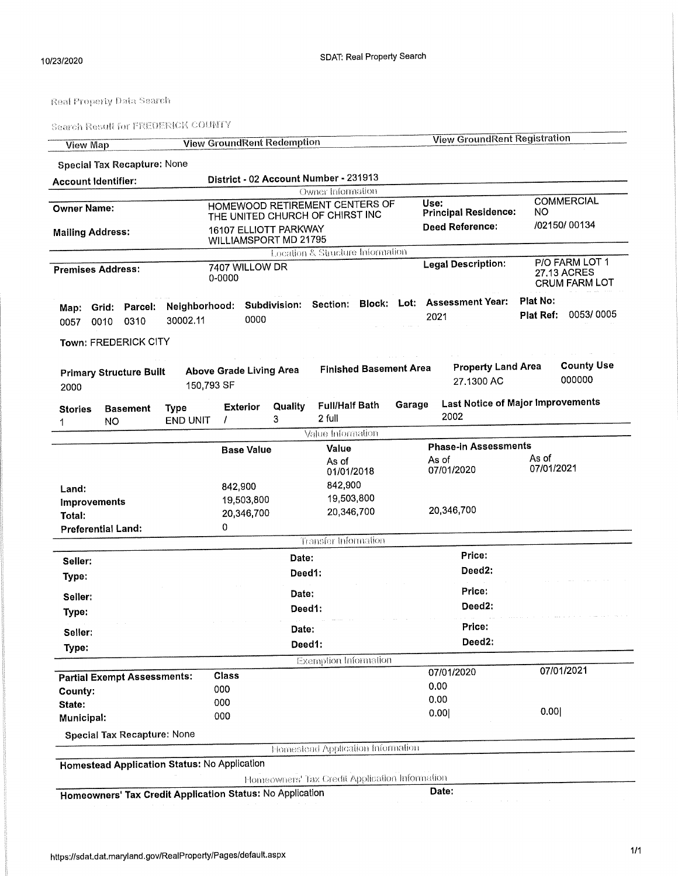| <b>View Map</b>         |                                                     |                                               |                          | <b>View GroundRent Redemption</b>                                 |                                   |        | <b>View GroundRent Registration</b>                                      |                     |                                                       |
|-------------------------|-----------------------------------------------------|-----------------------------------------------|--------------------------|-------------------------------------------------------------------|-----------------------------------|--------|--------------------------------------------------------------------------|---------------------|-------------------------------------------------------|
|                         | <b>Special Tax Recapture: None</b>                  |                                               |                          |                                                                   |                                   |        |                                                                          |                     |                                                       |
|                         | <b>Account Identifier:</b>                          |                                               |                          | District - 02 Account Number - 231913                             |                                   |        |                                                                          |                     |                                                       |
|                         |                                                     |                                               |                          |                                                                   | Owner Information                 |        |                                                                          |                     |                                                       |
| <b>Owner Name:</b>      |                                                     |                                               |                          | HOMEWOOD RETIREMENT CENTERS OF<br>THE UNITED CHURCH OF CHIRST INC |                                   |        | Use:<br><b>Principal Residence:</b>                                      | NO.                 | <b>COMMERCIAL</b>                                     |
| <b>Mailing Address:</b> |                                                     |                                               |                          | 16107 ELLIOTT PARKWAY<br>WILLIAMSPORT MD 21795                    |                                   |        | <b>Deed Reference:</b>                                                   |                     | /02150/00134                                          |
|                         |                                                     |                                               |                          |                                                                   | Location & Structure Information  |        |                                                                          |                     |                                                       |
|                         | <b>Premises Address:</b>                            |                                               | 7407 WILLOW DR<br>0-0000 |                                                                   |                                   |        | <b>Legal Description:</b>                                                |                     | P/O FARM LOT 1<br>27.13 ACRES<br><b>CRUM FARM LOT</b> |
| 0057                    | Map: Grid: Parcel:<br>0310<br>0010                  | 30002.11                                      | 0000                     |                                                                   |                                   |        | Neighborhood: Subdivision: Section: Block: Lot: Assessment Year:<br>2021 | Plat No:            | Plat Ref: 0053/0005                                   |
|                         | Town: FREDERICK CITY                                |                                               |                          |                                                                   |                                   |        |                                                                          |                     |                                                       |
| 2000                    | <b>Primary Structure Built</b>                      | 150,793 SF                                    |                          | <b>Above Grade Living Area</b>                                    | <b>Finished Basement Area</b>     |        | <b>Property Land Area</b><br>27.1300 AC                                  |                     | <b>County Use</b><br>000000                           |
| <b>Stories</b><br>1     | <b>Basement</b><br>NO                               | <b>Type</b><br><b>END UNIT</b>                | <b>Exterior</b>          | Quality<br>3                                                      | <b>Full/Half Bath</b><br>2 full   | Garage | <b>Last Notice of Major Improvements</b><br>2002                         |                     |                                                       |
|                         |                                                     |                                               |                          |                                                                   | Value Information                 |        |                                                                          |                     |                                                       |
|                         |                                                     |                                               | <b>Base Value</b>        |                                                                   | Value                             |        | <b>Phase-in Assessments</b>                                              |                     |                                                       |
|                         |                                                     |                                               |                          |                                                                   | As of<br>01/01/2018               |        | As of<br>07/01/2020                                                      | As of<br>07/01/2021 |                                                       |
| Land:                   |                                                     |                                               | 842,900                  |                                                                   | 842,900                           |        |                                                                          |                     |                                                       |
| <b>Improvements</b>     |                                                     |                                               | 19,503,800               |                                                                   | 19,503,800                        |        |                                                                          |                     |                                                       |
| Total:                  |                                                     |                                               | 20,346,700               |                                                                   | 20,346,700                        |        | 20,346,700                                                               |                     |                                                       |
|                         | <b>Preferential Land:</b>                           |                                               | 0                        |                                                                   |                                   |        |                                                                          |                     |                                                       |
|                         |                                                     |                                               |                          |                                                                   | <b>Transfer Information</b>       |        |                                                                          |                     |                                                       |
| Seller:                 |                                                     |                                               |                          | Date:                                                             |                                   |        | Price:                                                                   |                     |                                                       |
| Type:                   |                                                     |                                               |                          | Deed1:                                                            |                                   |        | Deed2:                                                                   |                     |                                                       |
|                         |                                                     |                                               |                          | Date:                                                             |                                   |        | Price:                                                                   |                     |                                                       |
| Seller:<br>Type:        |                                                     |                                               |                          | Deed1:                                                            |                                   |        | Deed <sub>2</sub> :                                                      |                     |                                                       |
| Seller:                 |                                                     |                                               |                          | Date:                                                             |                                   |        | Price:                                                                   |                     |                                                       |
| Type:                   |                                                     |                                               |                          | Deed1:                                                            |                                   |        | Deed2:                                                                   |                     |                                                       |
|                         |                                                     |                                               |                          |                                                                   | <b>Exemption Information</b>      |        |                                                                          |                     |                                                       |
|                         | <b>Partial Exempt Assessments:</b>                  |                                               | Class                    |                                                                   |                                   |        | 07/01/2020                                                               |                     | 07/01/2021                                            |
| County:                 |                                                     |                                               | 000                      |                                                                   |                                   |        | 0.00                                                                     |                     |                                                       |
| State:                  |                                                     |                                               | 000                      |                                                                   |                                   |        | 0.00                                                                     |                     |                                                       |
| Municipal:              |                                                     |                                               | 000                      |                                                                   |                                   |        | 0.00                                                                     | 0.00                |                                                       |
|                         | <b>Special Tax Recapture: None</b>                  |                                               |                          |                                                                   |                                   |        |                                                                          |                     |                                                       |
|                         |                                                     |                                               |                          |                                                                   | Homestead Application Information |        |                                                                          |                     |                                                       |
|                         | <b>Homestead Application Status: No Application</b> |                                               |                          |                                                                   |                                   |        |                                                                          |                     |                                                       |
|                         |                                                     |                                               |                          | Homeowners' Tax Credit Application Information                    |                                   |        |                                                                          |                     |                                                       |
|                         |                                                     | Tex Credit Application Status: No Application |                          |                                                                   |                                   |        | Date:                                                                    |                     |                                                       |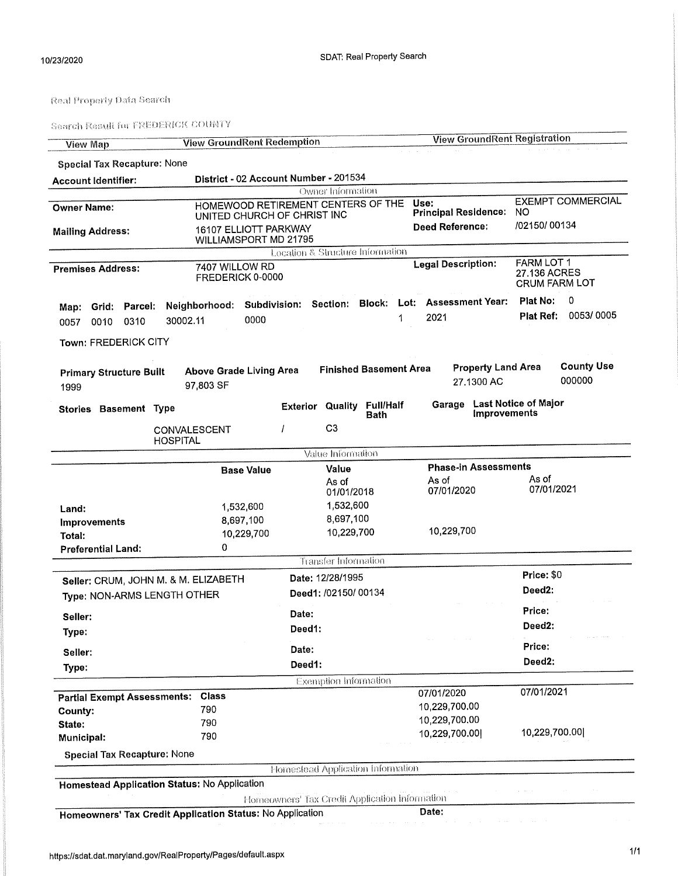| <b>View Map</b>                        | <b>View GroundRent Redemption</b>                         |                                                    | <b>View GroundRent Registration</b>     |                                                    |
|----------------------------------------|-----------------------------------------------------------|----------------------------------------------------|-----------------------------------------|----------------------------------------------------|
| <b>Special Tax Recapture: None</b>     |                                                           |                                                    |                                         |                                                    |
| <b>Account Identifier:</b>             |                                                           | District - 02 Account Number - 201534              |                                         |                                                    |
|                                        |                                                           | Owner Information                                  |                                         |                                                    |
| <b>Owner Name:</b>                     | UNITED CHURCH OF CHRIST INC                               | HOMEWOOD RETIREMENT CENTERS OF THE                 | Use:<br><b>Principal Residence:</b>     | <b>EXEMPT COMMERCIAL</b><br>NO.                    |
| <b>Mailing Address:</b>                | 16107 ELLIOTT PARKWAY<br>WILLIAMSPORT MD 21795            |                                                    | <b>Deed Reference:</b>                  | /02150/00134                                       |
|                                        |                                                           | Location & Structure Information                   |                                         |                                                    |
| <b>Premises Address:</b>               | 7407 WILLOW RD<br>FREDERICK 0-0000                        |                                                    | <b>Legal Description:</b>               | FARM LOT 1<br>27.136 ACRES<br><b>CRUM FARM LOT</b> |
| Grid: Parcel:                          | Neighborhood:                                             | Subdivision: Section: Block: Lot: Assessment Year: |                                         | Plat No:<br>0                                      |
| Map:<br>0310<br>0010<br>0057           | 0000<br>30002.11                                          | 1                                                  | 2021                                    | 0053/0005<br>Plat Ref:                             |
| Town: FREDERICK CITY                   |                                                           |                                                    |                                         |                                                    |
| <b>Primary Structure Built</b><br>1999 | Above Grade Living Area<br>97,803 SF                      | <b>Finished Basement Area</b>                      | <b>Property Land Area</b><br>27.1300 AC | <b>County Use</b><br>000000                        |
| Stories Basement Type                  |                                                           | <b>Exterior Quality Full/Half</b><br>Bath          | Garage<br><b>Improvements</b>           | <b>Last Notice of Major</b>                        |
|                                        | CONVALESCENT<br><b>HOSPITAL</b>                           | C <sub>3</sub>                                     |                                         |                                                    |
|                                        |                                                           | Value Information                                  |                                         |                                                    |
|                                        | <b>Base Value</b>                                         | Value                                              | <b>Phase-in Assessments</b>             |                                                    |
|                                        |                                                           | As of<br>01/01/2018                                | As of<br>07/01/2020                     | As of<br>07/01/2021                                |
| Land:                                  | 1,532,600                                                 | 1,532,600                                          |                                         |                                                    |
| <b>Improvements</b>                    | 8,697,100                                                 | 8,697,100                                          |                                         |                                                    |
| Total:                                 | 10,229,700                                                | 10,229,700                                         | 10,229,700                              |                                                    |
| <b>Preferential Land:</b>              | 0                                                         | <b>Transfer Information</b>                        |                                         |                                                    |
|                                        |                                                           |                                                    |                                         | Price: \$0                                         |
|                                        | Seller: CRUM, JOHN M. & M. ELIZABETH                      | Date: 12/28/1995                                   |                                         | Deed <sub>2</sub> :                                |
| Type: NON-ARMS LENGTH OTHER            |                                                           | Deed1: /02150/ 00134                               |                                         |                                                    |
| Seller:                                |                                                           | Date:                                              |                                         | Price:                                             |
| Type:                                  |                                                           | Deed1:                                             |                                         | Deed2:                                             |
| Seller:                                |                                                           | Date:                                              |                                         | Price:                                             |
| Type:                                  |                                                           | Deed1:                                             |                                         | Deed2:                                             |
|                                        |                                                           | <b>Exemption Information</b>                       |                                         |                                                    |
| <b>Partial Exempt Assessments:</b>     | Class                                                     |                                                    | 07/01/2020                              | 07/01/2021                                         |
| County:                                | 790                                                       |                                                    | 10,229,700.00                           |                                                    |
| State:                                 | 790                                                       |                                                    | 10,229,700.00                           |                                                    |
| Municipal:                             | 790                                                       |                                                    | 10,229,700.00                           | 10,229,700.00                                      |
| <b>Special Tax Recapture: None</b>     |                                                           | <b>Homestead Application Information</b>           |                                         |                                                    |
|                                        |                                                           |                                                    |                                         |                                                    |
|                                        | Homestead Application Status: No Application              | Homeowners' Tax Credit Application Information     |                                         |                                                    |
|                                        | Homeowners' Tax Credit Application Status: No Application |                                                    | <b>Date:</b>                            |                                                    |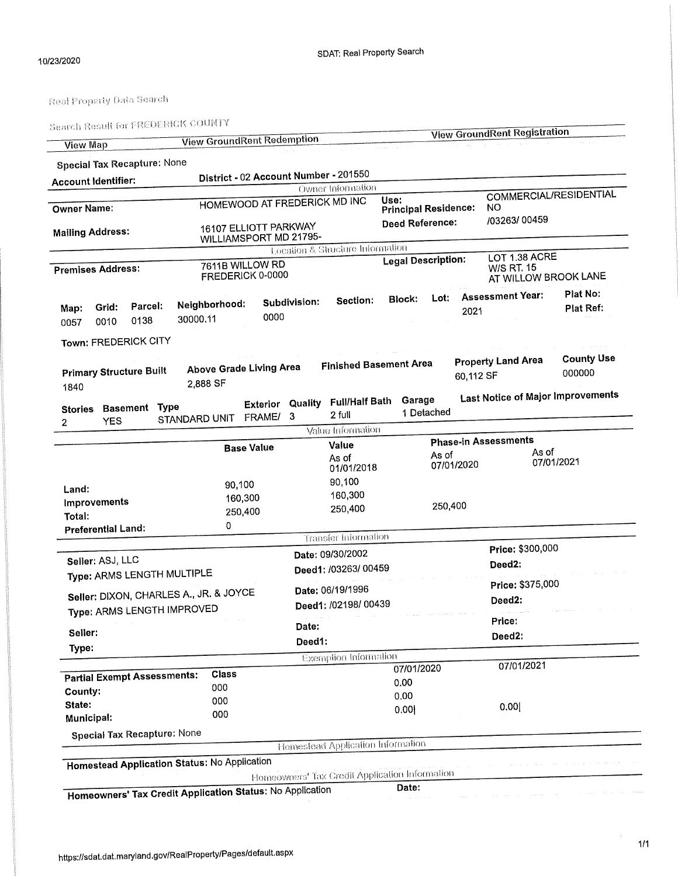|                                                     |         | 988101 udana uu rassa. | <b>View GroundRent Redemption</b>      |                   |                         |                                                |                 |                             |            |                     | <b>View GroundRent Registration</b> |                            |                                          |  |
|-----------------------------------------------------|---------|------------------------|----------------------------------------|-------------------|-------------------------|------------------------------------------------|-----------------|-----------------------------|------------|---------------------|-------------------------------------|----------------------------|------------------------------------------|--|
| <b>View Map</b>                                     |         |                        |                                        |                   |                         |                                                |                 |                             |            |                     |                                     |                            |                                          |  |
| <b>Special Tax Recapture: None</b>                  |         |                        |                                        |                   |                         | District - 02 Account Number - 201550          |                 |                             |            |                     |                                     |                            |                                          |  |
| <b>Account Identifier:</b>                          |         |                        |                                        |                   |                         | <b>Owner Information</b>                       |                 |                             |            |                     |                                     |                            |                                          |  |
|                                                     |         |                        |                                        |                   |                         | HOMEWOOD AT FREDERICK MD INC                   | Use:            |                             |            |                     |                                     |                            | COMMERCIAL/RESIDENTIAL                   |  |
| <b>Owner Name:</b>                                  |         |                        |                                        |                   |                         |                                                |                 | <b>Principal Residence:</b> |            |                     | NO.                                 |                            |                                          |  |
| <b>Mailing Address:</b>                             |         |                        | 16107 ELLIOTT PARKWAY                  |                   |                         |                                                | Deed Reference: |                             |            | /03263/00459        |                                     |                            |                                          |  |
|                                                     |         |                        | WILLIAMSPORT MD 21795-                 |                   |                         |                                                |                 |                             |            |                     |                                     |                            |                                          |  |
|                                                     |         |                        |                                        |                   |                         | Location & Structure Information               |                 |                             |            |                     | LOT 1.38 ACRE                       |                            |                                          |  |
| <b>Premises Address:</b>                            |         |                        | 7611B WILLOW RD<br>FREDERICK 0-0000    |                   |                         |                                                |                 | <b>Legal Description:</b>   |            |                     | <b>W/S RT. 15</b>                   |                            | AT WILLOW BROOK LANE                     |  |
|                                                     |         |                        |                                        |                   |                         | Section:                                       |                 | <b>Block:</b>               | Lot:       |                     | <b>Assessment Year:</b>             |                            | Plat No:                                 |  |
| Grid:<br>Map:                                       | Parcel: |                        | Neighborhood:                          |                   | Subdivision:            |                                                |                 |                             |            | 2021                |                                     |                            | Plat Ref:                                |  |
| 0010<br>0057                                        | 0138    | 30000.11               |                                        | 0000              |                         |                                                |                 |                             |            |                     |                                     |                            |                                          |  |
| Town: FREDERICK CITY                                |         |                        |                                        |                   |                         |                                                |                 |                             |            |                     |                                     |                            |                                          |  |
|                                                     |         |                        |                                        |                   |                         |                                                |                 |                             |            |                     |                                     |                            |                                          |  |
| <b>Primary Structure Built</b>                      |         |                        |                                        |                   |                         | <b>Finished Basement Area</b>                  |                 |                             |            |                     | <b>Property Land Area</b>           |                            | <b>County Use</b>                        |  |
|                                                     |         |                        | Above Grade Living Area<br>2,888 SF    |                   |                         |                                                |                 |                             |            |                     | 60,112 SF                           |                            | 000000                                   |  |
| 1840                                                |         |                        |                                        |                   |                         |                                                |                 | Garage                      |            |                     |                                     |                            | <b>Last Notice of Major Improvements</b> |  |
| <b>Stories Basement Type</b>                        |         |                        |                                        |                   | <b>Exterior Quality</b> | <b>Full/Half Bath</b><br>2 full                |                 |                             | 1 Detached |                     |                                     |                            |                                          |  |
| <b>YES</b><br>$\overline{2}$                        |         | STANDARD UNIT FRAME/   |                                        |                   | -3                      | Value Information                              |                 |                             |            |                     |                                     |                            |                                          |  |
|                                                     |         |                        |                                        |                   |                         |                                                |                 |                             |            |                     | <b>Phase-in Assessments</b>         |                            |                                          |  |
|                                                     |         |                        |                                        | <b>Base Value</b> | Value<br>As of          |                                                |                 |                             | As of      |                     |                                     | As of                      |                                          |  |
|                                                     |         |                        |                                        |                   |                         | 01/01/2018                                     |                 |                             |            | 07/01/2020          |                                     | 07/01/2021                 |                                          |  |
|                                                     |         |                        | 90,100                                 |                   |                         | 90,100                                         |                 |                             |            |                     |                                     |                            |                                          |  |
| Land:                                               |         |                        | 160,300                                |                   | 160,300                 |                                                |                 |                             |            |                     |                                     |                            |                                          |  |
| Improvements                                        |         |                        | 250,400<br>0                           |                   |                         | 250,400                                        |                 |                             | 250,400    |                     |                                     |                            |                                          |  |
| Total:<br>Preferential Land:                        |         |                        |                                        |                   |                         |                                                |                 |                             |            |                     |                                     |                            |                                          |  |
|                                                     |         |                        |                                        |                   |                         | <b>Transfer Information</b>                    |                 |                             |            |                     |                                     |                            |                                          |  |
|                                                     |         |                        |                                        |                   |                         | Date: 09/30/2002                               |                 |                             |            |                     | Price: \$300,000                    |                            |                                          |  |
| Seller: ASJ, LLC                                    |         |                        |                                        |                   |                         | Deed1: /03263/00459                            |                 |                             |            | Deed <sub>2</sub> : |                                     |                            |                                          |  |
| Type: ARMS LENGTH MULTIPLE                          |         |                        |                                        |                   |                         |                                                |                 |                             |            |                     |                                     |                            |                                          |  |
|                                                     |         |                        | Seller: DIXON, CHARLES A., JR. & JOYCE |                   |                         | Date: 06/19/1996                               |                 |                             |            |                     |                                     | Price: \$375,000<br>Deed2: |                                          |  |
| Type: ARMS LENGTH IMPROVED                          |         |                        |                                        |                   |                         | Deed1: /02198/ 00439                           |                 |                             |            |                     |                                     |                            |                                          |  |
|                                                     |         |                        |                                        |                   | and a series<br>Date:   |                                                |                 |                             |            |                     | Price:                              |                            |                                          |  |
| Seller:                                             |         |                        |                                        |                   | Deed1:                  |                                                |                 |                             |            |                     | Deed <sub>2</sub> :                 |                            |                                          |  |
| Type:                                               |         |                        |                                        |                   |                         | <b>Exemption Information</b>                   |                 |                             |            |                     |                                     |                            |                                          |  |
|                                                     |         |                        |                                        |                   |                         |                                                |                 | 07/01/2020                  |            |                     | 07/01/2021                          |                            |                                          |  |
| <b>Partial Exempt Assessments:</b>                  |         |                        | Class                                  |                   |                         |                                                |                 | 0.00                        |            |                     |                                     |                            |                                          |  |
| County:                                             |         |                        | 000                                    |                   |                         |                                                |                 | 0,00                        |            |                     |                                     |                            |                                          |  |
| State:                                              |         |                        | 000<br>000                             |                   |                         |                                                |                 | 0.00                        |            |                     | 0.00                                |                            |                                          |  |
| Municipal:                                          |         |                        |                                        |                   |                         |                                                |                 |                             |            |                     |                                     |                            |                                          |  |
| <b>Special Tax Recapture: None</b>                  |         |                        |                                        |                   |                         |                                                |                 |                             |            |                     |                                     |                            |                                          |  |
|                                                     |         |                        |                                        |                   |                         | Homestead Application Information              |                 |                             |            |                     |                                     |                            |                                          |  |
|                                                     |         |                        |                                        |                   |                         |                                                |                 |                             |            |                     |                                     |                            |                                          |  |
| <b>Homestead Application Status: No Application</b> |         |                        |                                        |                   |                         | Homeowners' Tax Credit Application Information |                 |                             |            |                     |                                     |                            |                                          |  |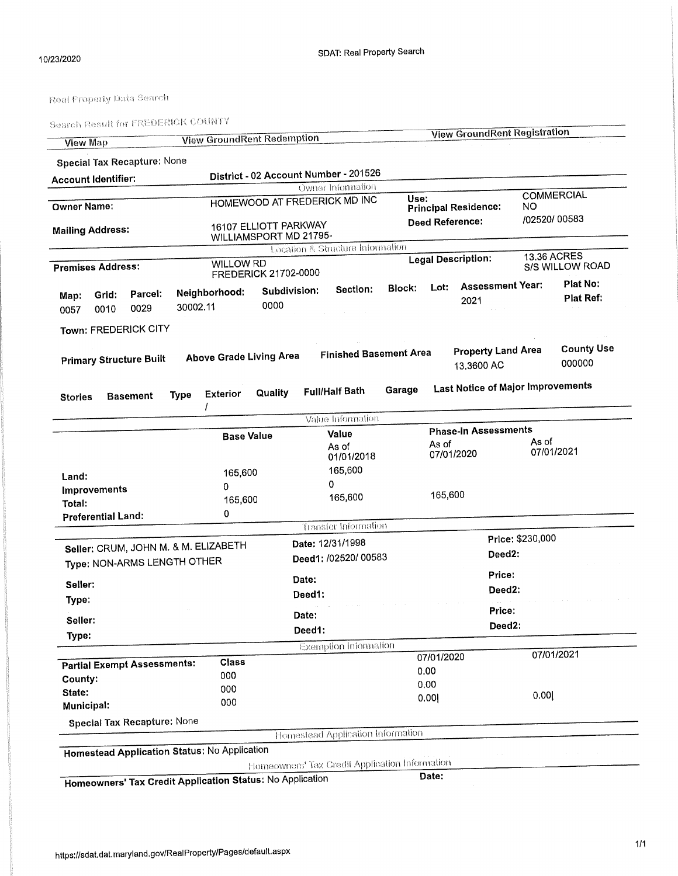Search Result for FREDERICK COUNTY

|                         |                                    |             | <b>View GroundRent Redemption</b>                   |                             |        |                                                | <b>View GroundRent Registration</b> |            |                                          |                  |                                |                   |  |
|-------------------------|------------------------------------|-------------|-----------------------------------------------------|-----------------------------|--------|------------------------------------------------|-------------------------------------|------------|------------------------------------------|------------------|--------------------------------|-------------------|--|
| <b>View Map</b>         |                                    |             |                                                     |                             |        |                                                |                                     |            |                                          |                  |                                |                   |  |
|                         | Special Tax Recapture: None        |             |                                                     |                             |        |                                                |                                     |            |                                          |                  |                                |                   |  |
|                         | <b>Account Identifier:</b>         |             |                                                     |                             |        | District - 02 Account Number - 201526          |                                     |            |                                          |                  |                                |                   |  |
|                         |                                    |             |                                                     |                             |        | Owner Information                              |                                     |            |                                          |                  |                                | <b>COMMERCIAL</b> |  |
| <b>Owner Name:</b>      |                                    |             |                                                     |                             |        | HOMEWOOD AT FREDERICK MD INC                   |                                     | Use:       | <b>Principal Residence:</b>              | NO.              |                                |                   |  |
|                         |                                    |             |                                                     | 16107 ELLIOTT PARKWAY       |        |                                                |                                     |            | <b>Deed Reference:</b>                   | /02520/00583     |                                |                   |  |
| <b>Mailing Address:</b> |                                    |             |                                                     | WILLIAMSPORT MD 21795-      |        |                                                |                                     |            |                                          |                  |                                |                   |  |
|                         |                                    |             |                                                     |                             |        | Location & Structure Information               |                                     |            |                                          |                  |                                |                   |  |
|                         | <b>Premises Address:</b>           |             | <b>WILLOW RD</b>                                    |                             |        |                                                |                                     |            | <b>Legal Description:</b>                |                  | 13.36 ACRES<br>S/S WILLOW ROAD |                   |  |
|                         |                                    |             |                                                     | <b>FREDERICK 21702-0000</b> |        |                                                |                                     |            |                                          |                  |                                | Plat No:          |  |
| Map:                    | Parcel:<br>Grid:                   |             | Neighbornood:                                       | Subdivision:                |        | Section:                                       | <b>Block:</b>                       | Lot:       | <b>Assessment Year:</b>                  |                  |                                | Plat Ref:         |  |
| 0057                    | 0029<br>0010                       | 30002.11    |                                                     | 0000                        |        |                                                |                                     |            | 2021                                     |                  |                                |                   |  |
|                         |                                    |             |                                                     |                             |        |                                                |                                     |            |                                          |                  |                                |                   |  |
|                         | Town: FREDERICK CITY               |             |                                                     |                             |        |                                                |                                     |            |                                          |                  |                                |                   |  |
|                         |                                    |             |                                                     |                             |        | <b>Finished Basement Area</b>                  |                                     |            | <b>Property Land Area</b>                |                  |                                | <b>County Use</b> |  |
|                         | <b>Primary Structure Built</b>     |             | <b>Above Grade Living Area</b>                      |                             |        |                                                |                                     |            | 13,3600 AC                               |                  |                                | 000000            |  |
|                         |                                    |             |                                                     |                             |        |                                                |                                     |            |                                          |                  |                                |                   |  |
| <b>Stories</b>          | <b>Basement</b>                    | <b>Type</b> | <b>Exterior</b>                                     | Quality                     |        | <b>Full/Half Bath</b>                          | Garage                              |            | <b>Last Notice of Major Improvements</b> |                  |                                |                   |  |
|                         |                                    |             |                                                     |                             |        |                                                |                                     |            |                                          |                  |                                |                   |  |
|                         |                                    |             |                                                     |                             |        | Value Information                              |                                     |            |                                          |                  |                                |                   |  |
|                         |                                    |             |                                                     | <b>Base Value</b>           |        | Value                                          |                                     |            | <b>Phase-in Assessments</b>              |                  |                                |                   |  |
|                         |                                    |             |                                                     |                             |        | As of                                          |                                     | As of      |                                          |                  | As of<br>07/01/2021            |                   |  |
|                         |                                    |             |                                                     |                             |        | 01/01/2018                                     |                                     |            | 07/01/2020                               |                  |                                |                   |  |
| Land:                   |                                    |             | 165,600                                             |                             |        | 165,600                                        |                                     |            |                                          |                  |                                |                   |  |
| Improvements            |                                    |             | 0<br>165,600                                        |                             |        | 0<br>165,600                                   |                                     |            |                                          |                  |                                |                   |  |
| Total:                  |                                    |             |                                                     |                             |        |                                                |                                     | 165,600    |                                          |                  |                                |                   |  |
|                         | <b>Preferential Land:</b>          |             | 0                                                   |                             |        |                                                |                                     |            |                                          |                  |                                |                   |  |
|                         |                                    |             |                                                     |                             |        | Transfer Information                           |                                     |            |                                          |                  |                                |                   |  |
|                         |                                    |             | Seller: CRUM, JOHN M. & M. ELIZABETH                |                             |        | Date: 12/31/1998                               |                                     |            |                                          | Price: \$230,000 |                                |                   |  |
|                         |                                    |             |                                                     |                             |        | Deed1: /02520/ 00583                           |                                     |            |                                          | Deed2:           |                                |                   |  |
|                         | Type: NON-ARMS LENGTH OTHER        |             |                                                     |                             |        |                                                |                                     |            | Price:                                   |                  |                                |                   |  |
| Seller:                 |                                    |             |                                                     |                             | Date:  |                                                |                                     |            |                                          | Deed2:           |                                |                   |  |
| Type:                   |                                    |             |                                                     |                             | Deed1: |                                                |                                     |            |                                          |                  |                                |                   |  |
|                         |                                    |             |                                                     |                             | Date:  |                                                |                                     |            | Price:                                   |                  |                                |                   |  |
| Seller:                 |                                    |             |                                                     |                             | Deed1: |                                                |                                     |            |                                          | Deed2:           |                                |                   |  |
| Type:                   |                                    |             |                                                     |                             |        |                                                |                                     |            |                                          |                  |                                |                   |  |
|                         |                                    |             |                                                     |                             |        | <b>Exemption Information</b>                   |                                     | 07/01/2020 |                                          |                  |                                | 07/01/2021        |  |
|                         | <b>Partial Exempt Assessments:</b> |             | Class                                               |                             |        |                                                |                                     | 0.00       |                                          |                  |                                |                   |  |
| County:                 |                                    |             | 000                                                 |                             |        |                                                |                                     | 0.00       |                                          |                  |                                |                   |  |
| State:                  |                                    |             | 000                                                 |                             |        |                                                |                                     | 0.00       |                                          |                  | 0.00                           |                   |  |
| Municipal:              |                                    |             | 000                                                 |                             |        |                                                |                                     |            |                                          |                  |                                |                   |  |
|                         | <b>Special Tax Recapture: None</b> |             |                                                     |                             |        |                                                |                                     |            |                                          |                  |                                |                   |  |
|                         |                                    |             |                                                     |                             |        | Homestead Application Information              |                                     |            |                                          |                  |                                |                   |  |
|                         |                                    |             | <b>Homestead Application Status: No Application</b> |                             |        |                                                |                                     |            |                                          |                  |                                |                   |  |
|                         |                                    |             |                                                     |                             |        | Homeowners' Tax Credit Application Information |                                     |            |                                          |                  |                                |                   |  |
|                         |                                    |             |                                                     | $\cdot$ No Application      |        |                                                |                                     | Date:      |                                          |                  |                                |                   |  |

Homeowners' Tax Credit Application Status: No Application